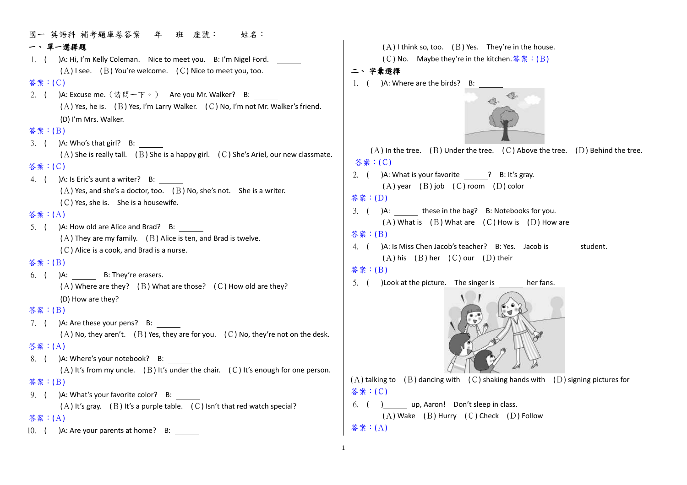國一 英語科 補考題庫卷答案 年 班 座號: 姓名: 一、 單一選擇題 1. ( )A: Hi, I'm Kelly Coleman. Nice to meet you. B: I'm Nigel Ford.  $(A)$  I see. (B) You're welcome. (C) Nice to meet you, too. 答案:(C) 2. ( )A: Excuse me.(請問一下。) Are you Mr. Walker? B: (A) Yes, he is. (B) Yes, I'm Larry Walker. (C) No, I'm not Mr. Walker's friend. (D) I'm Mrs. Walker. 答案:(B) 3. ( )A: Who's that girl? B:  $(A)$  She is really tall. (B) She is a happy girl. (C) She's Ariel, our new classmate. 答案:(C) 4. ( )A: Is Eric's aunt a writer? B:  $(A)$  Yes, and she's a doctor, too.  $(B)$  No, she's not. She is a writer. (C) Yes, she is. She is a housewife. 答案:(A) 5. ( )A: How old are Alice and Brad? B:  $(A)$  They are my family. (B) Alice is ten, and Brad is twelve. (C) Alice is a cook, and Brad is a nurse. 答案:(B) 6. ( )A: B: They're erasers.  $(A)$  Where are they? (B) What are those? (C) How old are they? (D) How are they? 答案:(B) 7. ( )A: Are these your pens? B:  $(A)$  No, they aren't.  $(B)$  Yes, they are for you.  $(C)$  No, they're not on the desk. 答案:(A) 8. ( )A: Where's your notebook? B:  $(A)$  It's from my uncle. (B) It's under the chair. (C) It's enough for one person. 答案:(B) 9. ( )A: What's your favorite color? B:  $(A)$  It's gray. (B) It's a purple table. (C) Isn't that red watch special? 答案:(A) 二、 字彙選擇 答案:(C) 答案:(D) 答案:(B) 答案:(B) 答案:(C)

10. ( )A: Are your parents at home? B:

 $(A)$  I think so, too. (B) Yes. They're in the house.

(C) No. Maybe they're in the kitchen.  $\frac{2}{3}$   $\frac{2}{3}$  : (B)

1. ( )A: Where are the birds? B:



 $(A)$  In the tree. (B) Under the tree. (C) Above the tree. (D) Behind the tree.

2. ( )A: What is your favorite ? B: It's gray.  $(A)$  year  $(B)$  job  $(C)$  room  $(D)$  color

```
3. ( )A: these in the bag? B: Notebooks for you.
(A) What is (B) What are (C) How is (D) How are
```
- 4. ( )A: Is Miss Chen Jacob's teacher? B: Yes. Jacob is student.  $(A)$  his  $(B)$  her  $(C)$  our  $(D)$  their
- 5. ( ) Look at the picture. The singer is her fans.



 $(A)$  talking to  $(B)$  dancing with  $(C)$  shaking hands with  $(D)$  signing pictures for

6. ( ) up, Aaron! Don't sleep in class.  $(A)$  Wake  $(B)$  Hurry  $(C)$  Check  $(D)$  Follow

### 答案:(A)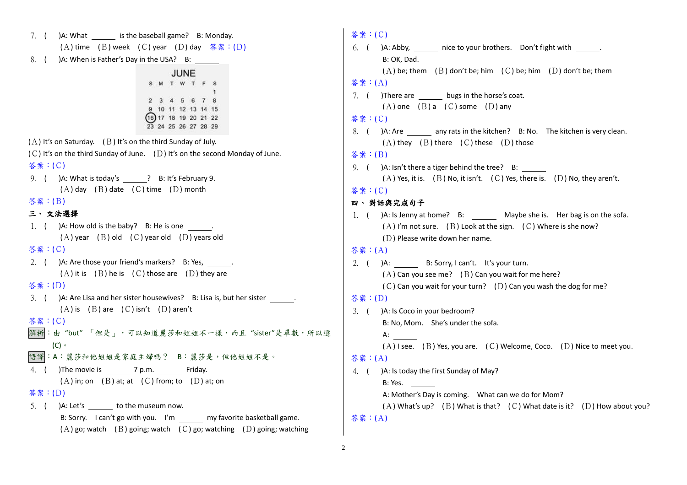7. ( )A: What is the baseball game? B: Monday. (A) time (B) week (C) year (D) day 答案 : (D) 8. ( )A: When is Father's Day in the USA? B: JUNE S M T W T F S 2 3 4 5 6 7 8 9 10 11 12 13 14 15  $(16) 17 18 19 20 21 22$ 23 24 25 26 27 28 29  $(A)$  It's on Saturday. (B) It's on the third Sunday of July.  $(C)$  It's on the third Sunday of June.  $(D)$  It's on the second Monday of June. 答案:(C) 9. ( )A: What is today's ? B: It's February 9.  $(A)$  day  $(B)$  date  $(C)$  time  $(D)$  month 答案:(B) 三、 文法選擇 1.  $($  )A: How old is the baby? B: He is one  $\qquad \qquad$ .  $(A)$  year  $(B)$  old  $(C)$  year old  $(D)$  years old 答案:(C) 2. ( )A: Are those your friend's markers? B: Yes,  $(A)$  it is  $(B)$  he is  $(C)$  those are  $(D)$  they are 答案:(D) 3. ( )A: Are Lisa and her sister housewives? B: Lisa is, but her sister . (A) is (B) are (C) isn't (D) aren't 答案:(C) 解析:由 "but" 「但是」,可以知道麗莎和姐姐不一樣,而且 "sister"是單數,所以選 (C)。 語譯:A:麗莎和他姐姐是家庭主婦嗎? B:麗莎是,但他姐姐不是。 4. ( )The movie is 7 p.m. Friday.  $(A)$  in; on  $(B)$  at; at  $(C)$  from; to  $(D)$  at; on 答案:(D) 5. ( )A: Let's to the museum now. B: Sorry. I can't go with you. I'm my favorite basketball game.  $(A)$  go; watch  $(B)$  going; watch  $(C)$  go; watching  $(D)$  going; watching

# 答案:(C) 6. ( )A: Abby, mice to your brothers. Don't fight with . B: OK, Dad.  $(A)$  be; them  $(B)$  don't be; him  $(C)$  be; him  $(D)$  don't be; them 答案:(A) 7. ( )There are bugs in the horse's coat.  $(A)$  one  $(B)$  a  $(C)$  some  $(D)$  any 答案:(C) 8. ( )A: Are \_\_\_\_\_\_ any rats in the kitchen? B: No. The kitchen is very clean.  $(A)$  they  $(B)$  there  $(C)$  these  $(D)$  those 答案:(B) 9. ( )A: Isn't there a tiger behind the tree? B:  $(A)$  Yes, it is. (B) No, it isn't. (C) Yes, there is. (D) No, they aren't. 答案:(C) 四、 對話與完成句子 1. ( )A: Is Jenny at home? B: Maybe she is. Her bag is on the sofa.  $(A)$  I'm not sure. (B) Look at the sign. (C) Where is she now? (D) Please write down her name. 答案:(A) 2. ( )A: B: Sorry, I can't. It's your turn.  $(A)$  Can you see me? (B) Can you wait for me here?  $(C)$  Can you wait for your turn?  $(D)$  Can you wash the dog for me? 答案:(D) 3. ( )A: Is Coco in your bedroom? B: No, Mom. She's under the sofa. A:  $\qquad \qquad$  $(A)$  I see. (B) Yes, you are. (C) Welcome, Coco. (D) Nice to meet you. 答案:(A) 4. ( )A: Is today the first Sunday of May? B: Yes. A: Mother's Day is coming. What can we do for Mom? (A) What's up? (B) What is that? (C) What date is it? (D) How about you? 答案:(A)